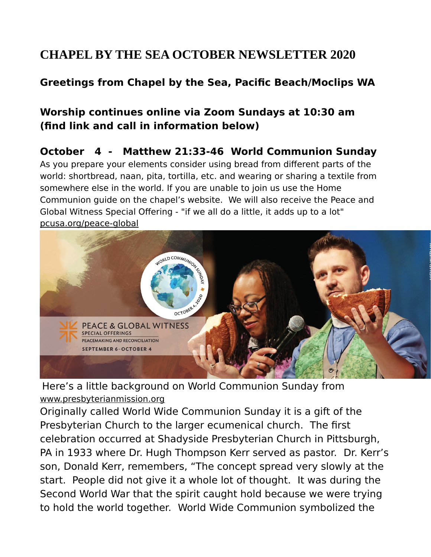# **CHAPEL BY THE SEA OCTOBER NEWSLETTER 2020**

### **Greetings from Chapel by the Sea, Pacific Beach/Moclips WA**

## **Worship continues online via Zoom Sundays at 10:30 am (find link and call in information below)**

#### **October 4 - Matthew 21:33-46 World Communion Sunday**

As you prepare your elements consider using bread from different parts of the world: shortbread, naan, pita, tortilla, etc. and wearing or sharing a textile from somewhere else in the world. If you are unable to join us use the Home Communion guide on the chapel's website. We will also receive the Peace and Global Witness Special Offering - "if we all do a little, it adds up to a lot" [pcusa.org/peace-global](http://pcusa.org/peace-global)



Here's a little background on World Communion Sunday from [www.presbyterianmission.org](http://www.presbyterianmission.org/)

Originally called World Wide Communion Sunday it is a gift of the Presbyterian Church to the larger ecumenical church. The first celebration occurred at Shadyside Presbyterian Church in Pittsburgh, PA in 1933 where Dr. Hugh Thompson Kerr served as pastor. Dr. Kerr's son, Donald Kerr, remembers, "The concept spread very slowly at the start. People did not give it a whole lot of thought. It was during the Second World War that the spirit caught hold because we were trying to hold the world together. World Wide Communion symbolized the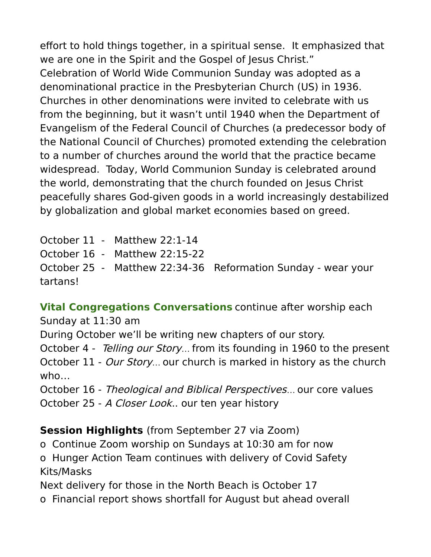effort to hold things together, in a spiritual sense. It emphasized that we are one in the Spirit and the Gospel of Jesus Christ." Celebration of World Wide Communion Sunday was adopted as a denominational practice in the Presbyterian Church (US) in 1936. Churches in other denominations were invited to celebrate with us from the beginning, but it wasn't until 1940 when the Department of Evangelism of the Federal Council of Churches (a predecessor body of the National Council of Churches) promoted extending the celebration to a number of churches around the world that the practice became widespread. Today, World Communion Sunday is celebrated around the world, demonstrating that the church founded on Jesus Christ peacefully shares God-given goods in a world increasingly destabilized by globalization and global market economies based on greed.

October 11 - Matthew 22:1-14 October 16 - Matthew 22:15-22 October 25 - Matthew 22:34-36 Reformation Sunday - wear your tartans!

**Vital Congregations Conversations** continue after worship each Sunday at 11:30 am During October we'll be writing new chapters of our story. October 4 - Telling our Story… from its founding in 1960 to the present October 11 - Our Story... our church is marked in history as the church who…

October 16 - Theological and Biblical Perspectives… our core values October 25 - A Closer Look.. our ten year history

**Session Highlights** (from September 27 via Zoom)

o Continue Zoom worship on Sundays at 10:30 am for now

o Hunger Action Team continues with delivery of Covid Safety Kits/Masks

Next delivery for those in the North Beach is October 17

o Financial report shows shortfall for August but ahead overall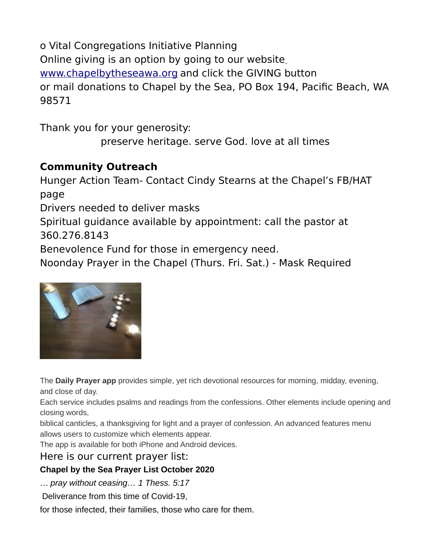o Vital Congregations Initiative Planning Online giving is an option by going to our website [www.chapelbytheseawa.org](http://www.chapelbytheseawa.org/) and click the GIVING button or mail donations to Chapel by the Sea, PO Box 194, Pacific Beach, WA 98571

Thank you for your generosity:

preserve heritage. serve God. love at all times

### **Community Outreach**

Hunger Action Team- Contact Cindy Stearns at the Chapel's FB/HAT page

Drivers needed to deliver masks

Spiritual guidance available by appointment: call the pastor at 360.276.8143

Benevolence Fund for those in emergency need.

Noonday Prayer in the Chapel (Thurs. Fri. Sat.) - Mask Required



The **Daily Prayer app** provides simple, yet rich devotional resources for morning, midday, evening, and close of day.

Each service includes psalms and readings from the confessions. Other elements include opening and closing words,

biblical canticles, a thanksgiving for light and a prayer of confession. An advanced features menu allows users to customize which elements appear.

The app is available for both iPhone and Android devices.

Here is our current prayer list:

#### **Chapel by the Sea Prayer List October 2020**

… *pray without ceasing… 1 Thess. 5:17*

Deliverance from this time of Covid-19,

for those infected, their families, those who care for them.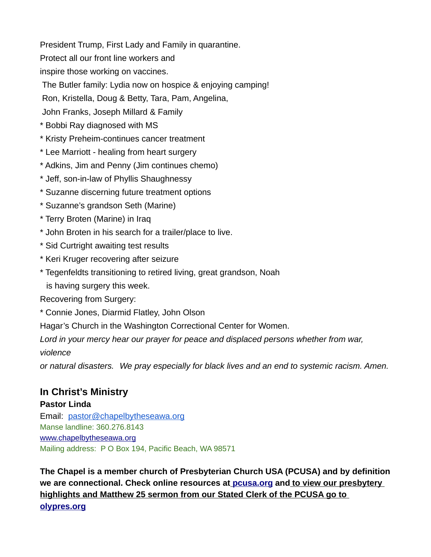President Trump, First Lady and Family in quarantine. Protect all our front line workers and inspire those working on vaccines.

The Butler family: Lydia now on hospice & enjoying camping!

Ron, Kristella, Doug & Betty, Tara, Pam, Angelina,

John Franks, Joseph Millard & Family

- \* Bobbi Ray diagnosed with MS
- \* Kristy Preheim-continues cancer treatment
- \* Lee Marriott healing from heart surgery
- \* Adkins, Jim and Penny (Jim continues chemo)
- \* Jeff, son-in-law of Phyllis Shaughnessy
- \* Suzanne discerning future treatment options
- \* Suzanne's grandson Seth (Marine)
- \* Terry Broten (Marine) in Iraq
- \* John Broten in his search for a trailer/place to live.
- \* Sid Curtright awaiting test results
- \* Keri Kruger recovering after seizure
- \* Tegenfeldts transitioning to retired living, great grandson, Noah is having surgery this week.

Recovering from Surgery:

\* Connie Jones, Diarmid Flatley, John Olson

Hagar's Church in the Washington Correctional Center for Women.

Lord in your mercy hear our prayer for peace and displaced persons whether from war, *violence*

*or natural disasters. We pray especially for black lives and an end to systemic racism. Amen.*

#### **In Christ's Ministry**

#### **Pastor Linda**

Email: [pastor@chapelbytheseawa.org](mailto:pastor@chapelbytheseawa.org) Manse landline: 360.276.8143 [www.chapelbytheseawa.org](http://www.chapelbytheseawa.org/) Mailing address: P O Box 194, Pacific Beach, WA 98571

**The Chapel is a member church of Presbyterian Church USA (PCUSA) and by definition we are connectional. Check online resources at [pcusa.org](http://pcusa.org/) and [to view our presbytery](http://olypres.org/)  [highlights and Matthew 25 sermon from our Stated Clerk of the PCUSA go to](http://olypres.org/)  [olypres.org](http://olypres.org/)**